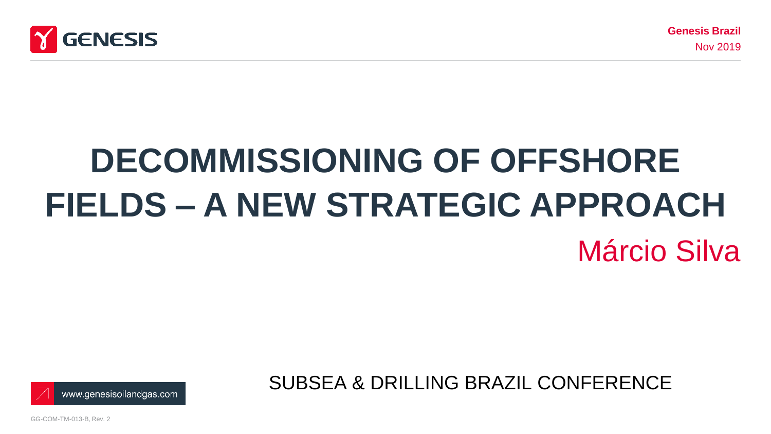

# **DECOMMISSIONING OF OFFSHORE FIELDS – A NEW STRATEGIC APPROACH**  Márcio Silva



SUBSEA & DRILLING BRAZIL CONFERENCE

GG-COM-TM-013-B, Rev. 2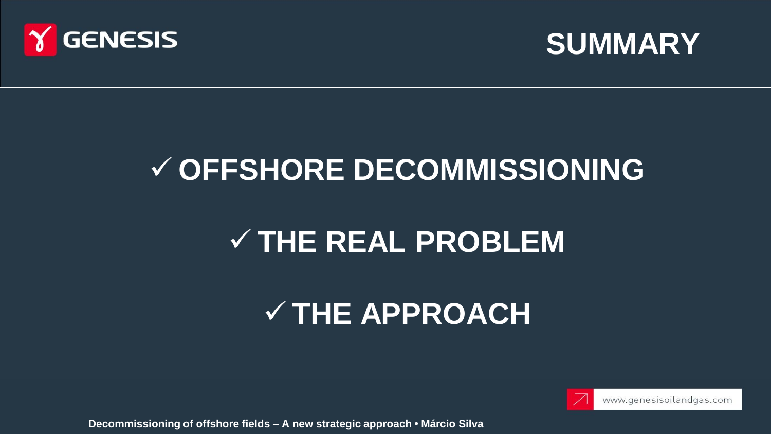



### **OFFSHORE DECOMMISSIONING**

### **THE REAL PROBLEM**

## **THE APPROACH**



**Decommissioning of offshore fields – A new strategic approach • Márcio Silva**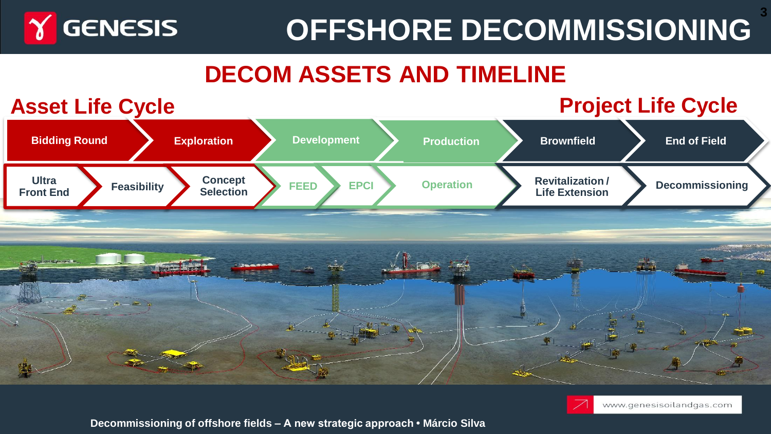

## **OFFSHORE DECOMMISSIONING**

### **DECOM ASSETS AND TIMELINE**





**Decommissioning of offshore fields – A new strategic approach • Márcio Silva**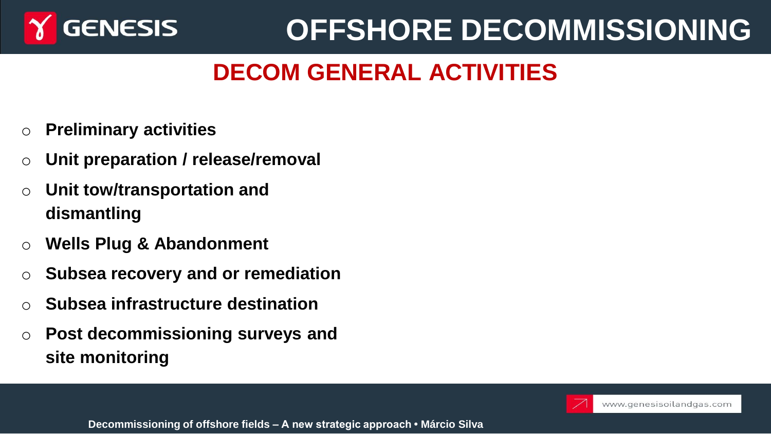

## **OFFSHORE DECOMMISSIONING**

### **DECOM GENERAL ACTIVITIES**

- **Preliminary activities**
- o **Unit preparation / release/removal**
- o **Unit tow/transportation and dismantling**
- o **Wells Plug & Abandonment**
- o **Subsea recovery and or remediation**
- o **Subsea infrastructure destination**
- o **Post decommissioning surveys and site monitoring**

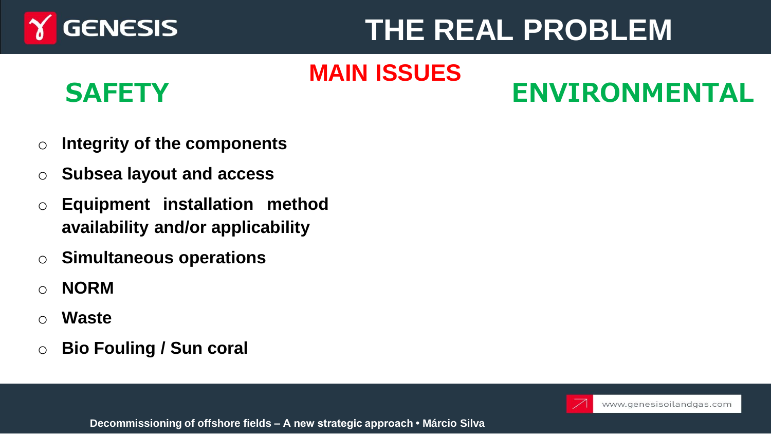

### **THE REAL PROBLEM**

#### **MAIN ISSUES DECOMMISSIONING**

### **SAFETY ENVIRONMENTAL**

- o **Integrity of the components**
- o **Subsea layout and access**
- o **Equipment installation method availability and/or applicability**
- o **Simultaneous operations**
- o **NORM**
- o **Waste**
- o **Bio Fouling / Sun coral**

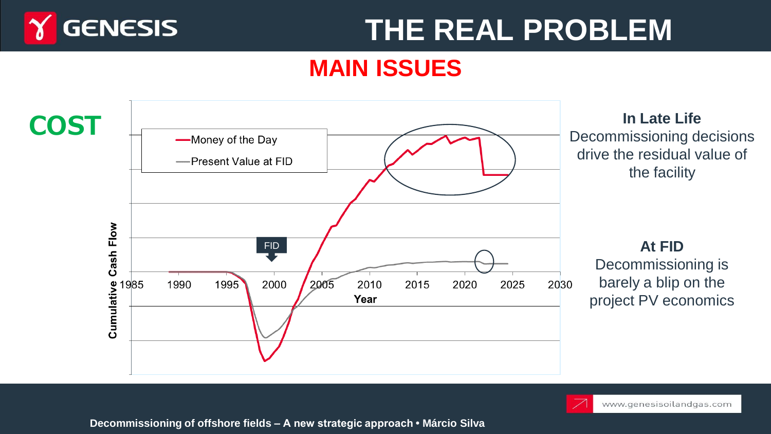

### **THE REAL PROBLEM**

#### **MAIN ISSUES**



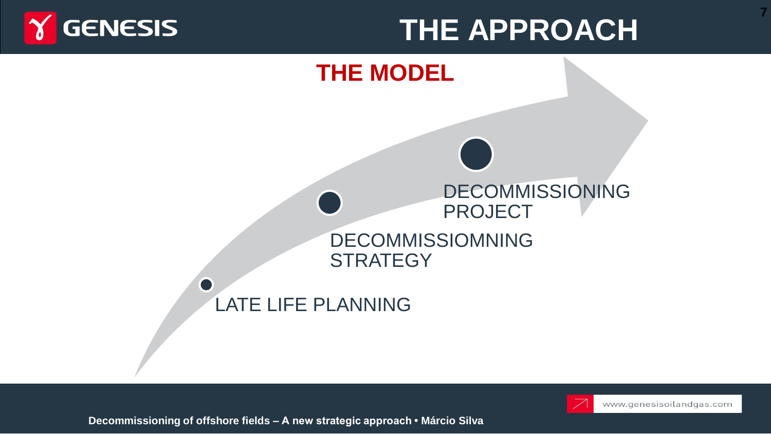

### **THE APPROACH**



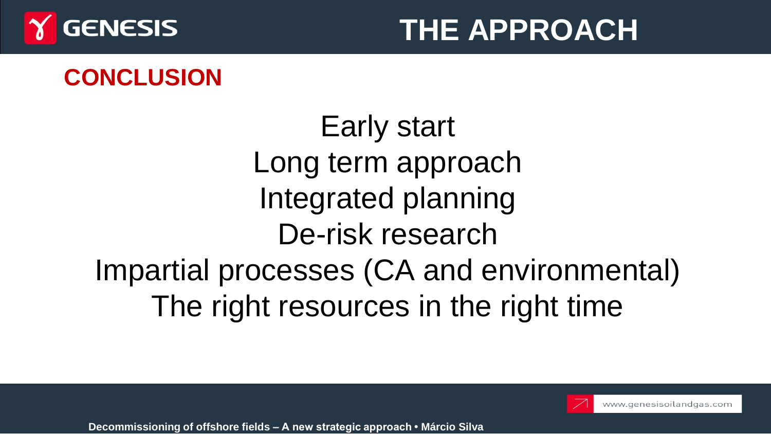

#### **THE APPROACH THE APPROACH**

### **CONCLUSION**

Early start Long term approach Integrated planning De-risk research Impartial processes (CA and environmental) The right resources in the right time